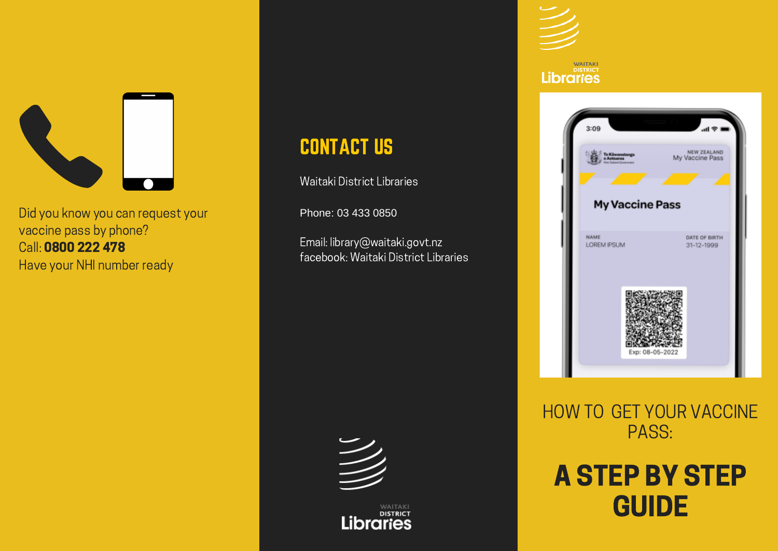

Did you know you can request your vaccine pass by phone? Call: 0800 222 478 Have your NHI number ready

#### CONTACT US

Waitaki District Libraries

Phone: 03 433 0850

Email: library@waitaki.govt.nz facebook: Waitaki District Libraries



**Libraries** 

#### **WAITAKI Libraries**



HOW TO GET YOUR VACCINE PASS:

#### A STEP BY STEP **GUIDE**